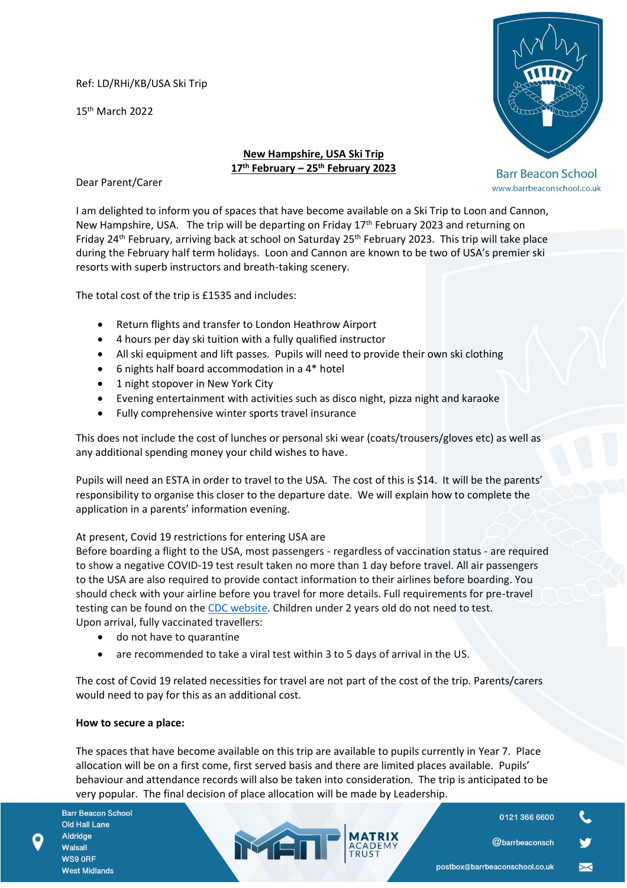Ref: LD/RHi/KB/USA Ski Trip

15th March 2022



www.barrbeaconschool.co.uk

# **New Hampshire, USA Ski Trip 17th February – 25th February 2023**

Dear Parent/Carer

I am delighted to inform you of spaces that have become available on a Ski Trip to Loon and Cannon, New Hampshire, USA. The trip will be departing on Friday 17<sup>th</sup> February 2023 and returning on Friday 24th February, arriving back at school on Saturday 25th February 2023. This trip will take place during the February half term holidays. Loon and Cannon are known to be two of USA's premier ski resorts with superb instructors and breath-taking scenery.

The total cost of the trip is £1535 and includes:

- Return flights and transfer to London Heathrow Airport
- 4 hours per day ski tuition with a fully qualified instructor
- All ski equipment and lift passes. Pupils will need to provide their own ski clothing
- 6 nights half board accommodation in a 4\* hotel
- 1 night stopover in New York City
- Evening entertainment with activities such as disco night, pizza night and karaoke
- Fully comprehensive winter sports travel insurance

This does not include the cost of lunches or personal ski wear (coats/trousers/gloves etc) as well as any additional spending money your child wishes to have.

Pupils will need an ESTA in order to travel to the USA. The cost of this is \$14. It will be the parents' responsibility to organise this closer to the departure date. We will explain how to complete the application in a parents' information evening.

# At present, Covid 19 restrictions for entering USA are

Before boarding a flight to the USA, most passengers - regardless of vaccination status - are required to show a negative COVID-19 test result taken no more than 1 day before travel. All air passengers to the USA are also required to provide contact information to their airlines before boarding. You should check with your airline before you travel for more details. Full requirements for pre-travel testing can be found on the [CDC website.](https://www.cdc.gov/coronavirus/2019-ncov/travelers/noncitizens-US-air-travel.html) Children under 2 years old do not need to test. Upon arrival, fully vaccinated travellers:

- do not have to quarantine
- are recommended to take a viral test within 3 to 5 days of arrival in the US.

MEN

The cost of Covid 19 related necessities for travel are not part of the cost of the trip. Parents/carers would need to pay for this as an additional cost.

### **How to secure a place:**

The spaces that have become available on this trip are available to pupils currently in Year 7. Place allocation will be on a first come, first served basis and there are limited places available. Pupils' behaviour and attendance records will also be taken into consideration. The trip is anticipated to be very popular. The final decision of place allocation will be made by Leadership.

**Barr Beacon School Old Hall Lane** Aldridge Walsall WS9 ORF **West Midlands** 

0121 366 6600

**@barrbeaconsch**